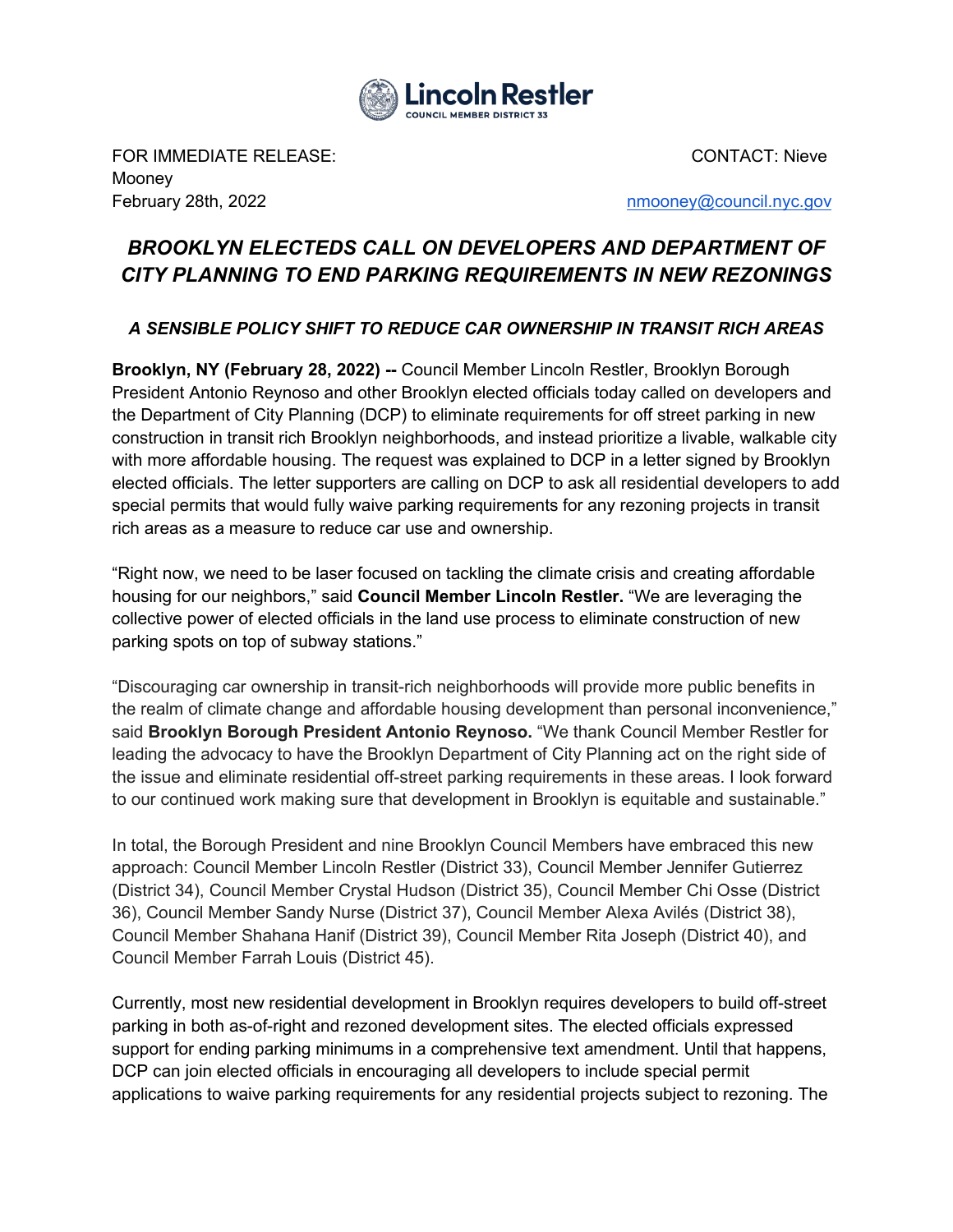

FOR IMMEDIATE RELEASE: CONTACT: Nieve Mooney February 28th, 2022 and the state of the state of the state of the number of the [nmooney@council.nyc.gov](mailto:nmooney@council.nyc.gov)

## *BROOKLYN ELECTEDS CALL ON DEVELOPERS AND DEPARTMENT OF CITY PLANNING TO END PARKING REQUIREMENTS IN NEW REZONINGS*

## *A SENSIBLE POLICY SHIFT TO REDUCE CAR OWNERSHIP IN TRANSIT RICH AREAS*

**Brooklyn, NY (February 28, 2022) --** Council Member Lincoln Restler, Brooklyn Borough President Antonio Reynoso and other Brooklyn elected officials today called on developers and the Department of City Planning (DCP) to eliminate requirements for off street parking in new construction in transit rich Brooklyn neighborhoods, and instead prioritize a livable, walkable city with more affordable housing. The request was explained to DCP in a letter signed by Brooklyn elected officials. The letter supporters are calling on DCP to ask all residential developers to add special permits that would fully waive parking requirements for any rezoning projects in transit rich areas as a measure to reduce car use and ownership.

"Right now, we need to be laser focused on tackling the climate crisis and creating affordable housing for our neighbors," said **Council Member Lincoln Restler.** "We are leveraging the collective power of elected officials in the land use process to eliminate construction of new parking spots on top of subway stations."

"Discouraging car ownership in transit-rich neighborhoods will provide more public benefits in the realm of climate change and affordable housing development than personal inconvenience," said **Brooklyn Borough President Antonio Reynoso.** "We thank Council Member Restler for leading the advocacy to have the Brooklyn Department of City Planning act on the right side of the issue and eliminate residential off-street parking requirements in these areas. I look forward to our continued work making sure that development in Brooklyn is equitable and sustainable."

In total, the Borough President and nine Brooklyn Council Members have embraced this new approach: Council Member Lincoln Restler (District 33), Council Member Jennifer Gutierrez (District 34), Council Member Crystal Hudson (District 35), Council Member Chi Osse (District 36), Council Member Sandy Nurse (District 37), Council Member Alexa Avilés (District 38), Council Member Shahana Hanif (District 39), Council Member Rita Joseph (District 40), and Council Member Farrah Louis (District 45).

Currently, most new residential development in Brooklyn requires developers to build off-street parking in both as-of-right and rezoned development sites. The elected officials expressed support for ending parking minimums in a comprehensive text amendment. Until that happens, DCP can join elected officials in encouraging all developers to include special permit applications to waive parking requirements for any residential projects subject to rezoning. The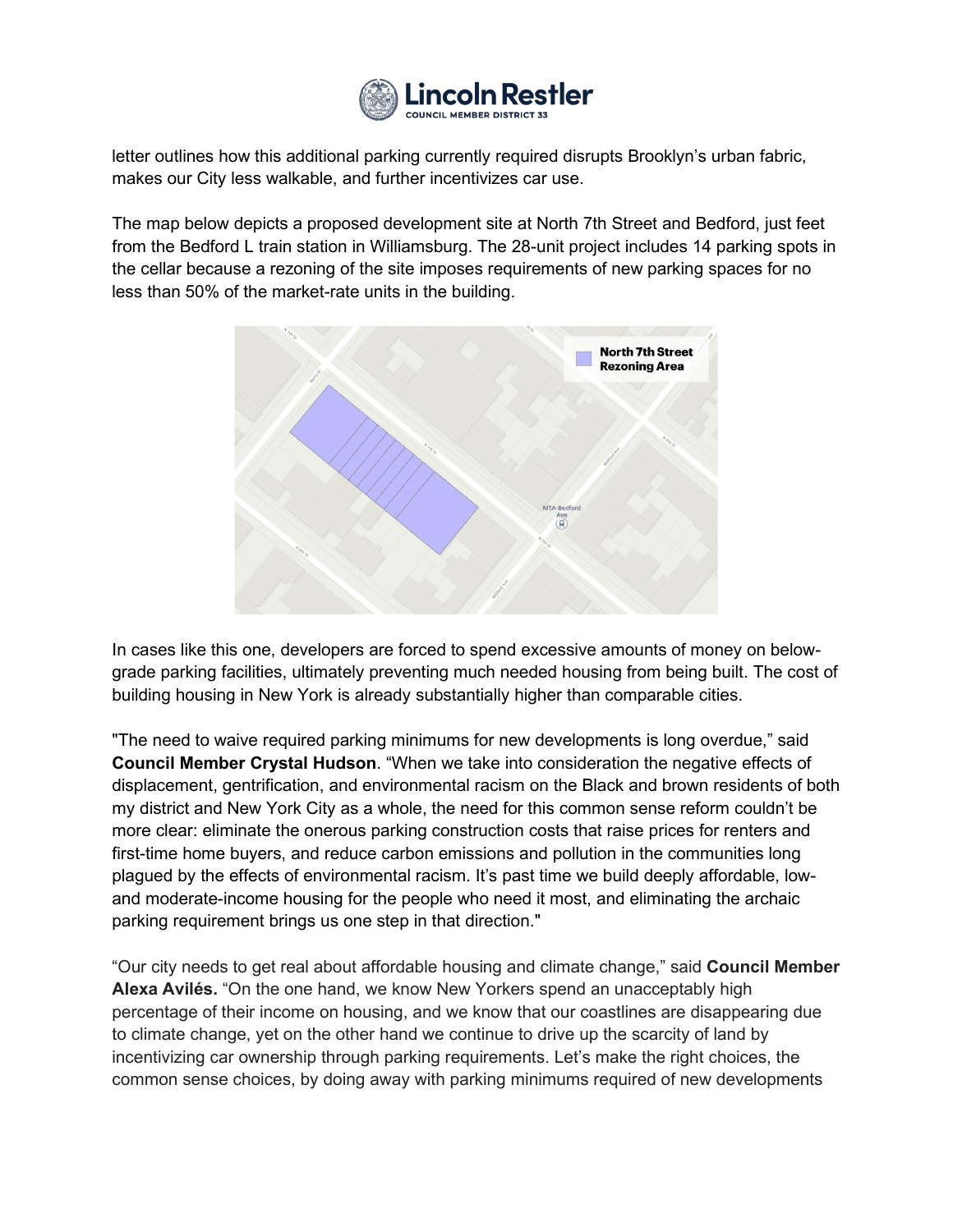

letter outlines how this additional parking currently required disrupts Brooklyn's urban fabric, makes our City less walkable, and further incentivizes car use.

The map below depicts a proposed development site at North 7th Street and Bedford, just feet from the Bedford L train station in Williamsburg. The 28-unit project includes 14 parking spots in the cellar because a rezoning of the site imposes requirements of new parking spaces for no less than 50% of the market-rate units in the building.



In cases like this one, developers are forced to spend excessive amounts of money on belowgrade parking facilities, ultimately preventing much needed housing from being built. The cost of building housing in New York is already substantially higher than comparable cities.

"The need to waive required parking minimums for new developments is long overdue," said **Council Member Crystal Hudson**. "When we take into consideration the negative effects of displacement, gentrification, and environmental racism on the Black and brown residents of both my district and New York City as a whole, the need for this common sense reform couldn't be more clear: eliminate the onerous parking construction costs that raise prices for renters and first-time home buyers, and reduce carbon emissions and pollution in the communities long plagued by the effects of environmental racism. It's past time we build deeply affordable, lowand moderate-income housing for the people who need it most, and eliminating the archaic parking requirement brings us one step in that direction."

"Our city needs to get real about affordable housing and climate change," said **Council Member Alexa Avilés.** "On the one hand, we know New Yorkers spend an unacceptably high percentage of their income on housing, and we know that our coastlines are disappearing due to climate change, yet on the other hand we continue to drive up the scarcity of land by incentivizing car ownership through parking requirements. Let's make the right choices, the common sense choices, by doing away with parking minimums required of new developments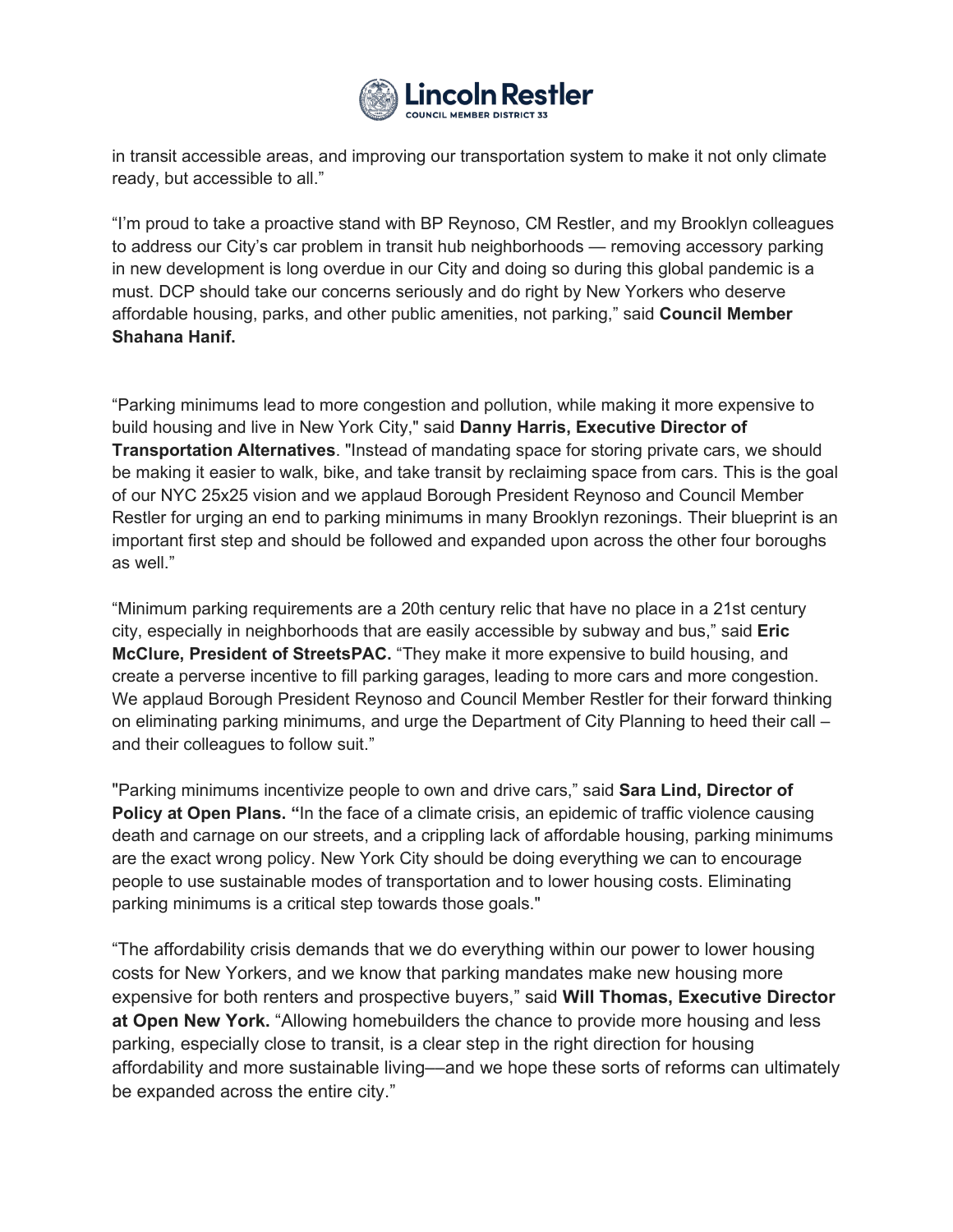

in transit accessible areas, and improving our transportation system to make it not only climate ready, but accessible to all."

"I'm proud to take a proactive stand with BP Reynoso, CM Restler, and my Brooklyn colleagues to address our City's car problem in transit hub neighborhoods — removing accessory parking in new development is long overdue in our City and doing so during this global pandemic is a must. DCP should take our concerns seriously and do right by New Yorkers who deserve affordable housing, parks, and other public amenities, not parking," said **Council Member Shahana Hanif.** 

"Parking minimums lead to more congestion and pollution, while making it more expensive to build housing and live in New York City," said **Danny Harris, Executive Director of Transportation Alternatives**. "Instead of mandating space for storing private cars, we should be making it easier to walk, bike, and take transit by reclaiming space from cars. This is the goal of our NYC 25x25 vision and we applaud Borough President Reynoso and Council Member Restler for urging an end to parking minimums in many Brooklyn rezonings. Their blueprint is an important first step and should be followed and expanded upon across the other four boroughs as well."

"Minimum parking requirements are a 20th century relic that have no place in a 21st century city, especially in neighborhoods that are easily accessible by subway and bus," said **Eric McClure, President of StreetsPAC.** "They make it more expensive to build housing, and create a perverse incentive to fill parking garages, leading to more cars and more congestion. We applaud Borough President Reynoso and Council Member Restler for their forward thinking on eliminating parking minimums, and urge the Department of City Planning to heed their call – and their colleagues to follow suit."

"Parking minimums incentivize people to own and drive cars," said **Sara Lind, Director of Policy at Open Plans.** "In the face of a climate crisis, an epidemic of traffic violence causing death and carnage on our streets, and a crippling lack of affordable housing, parking minimums are the exact wrong policy. New York City should be doing everything we can to encourage people to use sustainable modes of transportation and to lower housing costs. Eliminating parking minimums is a critical step towards those goals."

"The affordability crisis demands that we do everything within our power to lower housing costs for New Yorkers, and we know that parking mandates make new housing more expensive for both renters and prospective buyers," said **Will Thomas, Executive Director at Open New York.** "Allowing homebuilders the chance to provide more housing and less parking, especially close to transit, is a clear step in the right direction for housing affordability and more sustainable living––and we hope these sorts of reforms can ultimately be expanded across the entire city."